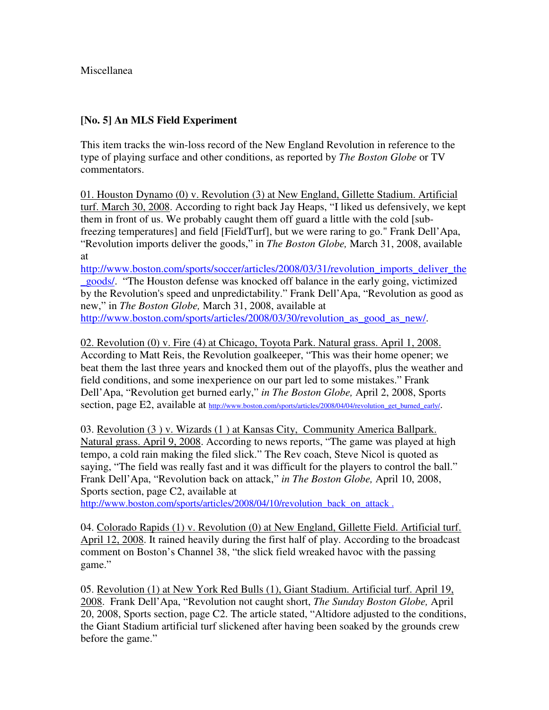## Miscellanea

## **[No. 5] An MLS Field Experiment**

This item tracks the win-loss record of the New England Revolution in reference to the type of playing surface and other conditions, as reported by *The Boston Globe* or TV commentators.

01. Houston Dynamo (0) v. Revolution (3) at New England, Gillette Stadium. Artificial turf. March 30, 2008. According to right back Jay Heaps, "I liked us defensively, we kept them in front of us. We probably caught them off guard a little with the cold [subfreezing temperatures] and field [FieldTurf], but we were raring to go." Frank Dell'Apa, "Revolution imports deliver the goods," in *The Boston Globe,* March 31, 2008, available at

http://www.boston.com/sports/soccer/articles/2008/03/31/revolution\_imports\_deliver\_the \_goods/. "The Houston defense was knocked off balance in the early going, victimized by the Revolution's speed and unpredictability." Frank Dell'Apa, "Revolution as good as new," in *The Boston Globe,* March 31, 2008, available at http://www.boston.com/sports/articles/2008/03/30/revolution\_as\_good\_as\_new/.

02. Revolution (0) v. Fire (4) at Chicago, Toyota Park. Natural grass. April 1, 2008. According to Matt Reis, the Revolution goalkeeper, "This was their home opener; we beat them the last three years and knocked them out of the playoffs, plus the weather and field conditions, and some inexperience on our part led to some mistakes." Frank Dell'Apa, "Revolution get burned early," *in The Boston Globe,* April 2, 2008, Sports section, page E2, available at http://www.boston.com/sports/articles/2008/04/04/revolution\_get\_burned\_early/.

03. Revolution (3 ) v. Wizards (1 ) at Kansas City, Community America Ballpark. Natural grass. April 9, 2008. According to news reports, "The game was played at high tempo, a cold rain making the filed slick." The Rev coach, Steve Nicol is quoted as saying, "The field was really fast and it was difficult for the players to control the ball." Frank Dell'Apa, "Revolution back on attack," *in The Boston Globe,* April 10, 2008, Sports section, page C2, available at

http://www.boston.com/sports/articles/2008/04/10/revolution\_back\_on\_attack.

04. Colorado Rapids (1) v. Revolution (0) at New England, Gillette Field. Artificial turf. April 12, 2008. It rained heavily during the first half of play. According to the broadcast comment on Boston's Channel 38, "the slick field wreaked havoc with the passing game."

05. Revolution (1) at New York Red Bulls (1), Giant Stadium. Artificial turf. April 19, 2008. Frank Dell'Apa, "Revolution not caught short, *The Sunday Boston Globe,* April 20, 2008, Sports section, page C2. The article stated, "Altidore adjusted to the conditions, the Giant Stadium artificial turf slickened after having been soaked by the grounds crew before the game."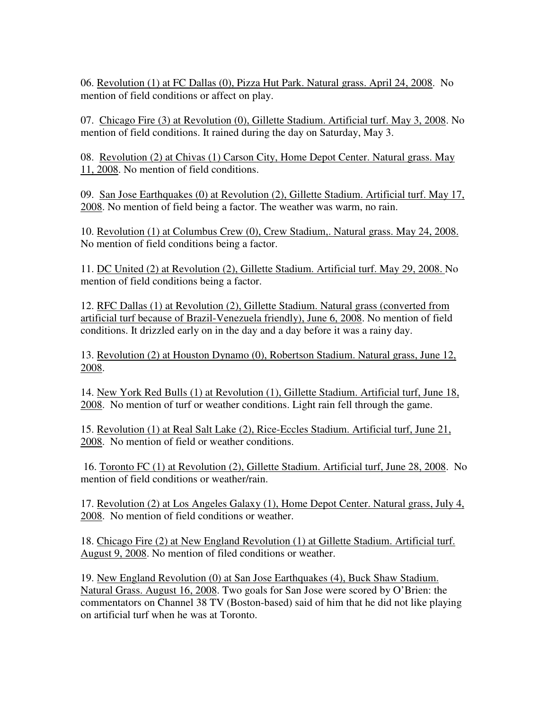06. Revolution (1) at FC Dallas (0), Pizza Hut Park. Natural grass. April 24, 2008. No mention of field conditions or affect on play.

07. Chicago Fire (3) at Revolution (0), Gillette Stadium. Artificial turf. May 3, 2008. No mention of field conditions. It rained during the day on Saturday, May 3.

08. Revolution (2) at Chivas (1) Carson City, Home Depot Center. Natural grass. May 11, 2008. No mention of field conditions.

09. San Jose Earthquakes (0) at Revolution (2), Gillette Stadium. Artificial turf. May 17, 2008. No mention of field being a factor. The weather was warm, no rain.

10. Revolution (1) at Columbus Crew (0), Crew Stadium,. Natural grass. May 24, 2008. No mention of field conditions being a factor.

11. DC United (2) at Revolution (2), Gillette Stadium. Artificial turf. May 29, 2008. No mention of field conditions being a factor.

12. RFC Dallas (1) at Revolution (2), Gillette Stadium. Natural grass (converted from artificial turf because of Brazil-Venezuela friendly), June 6, 2008. No mention of field conditions. It drizzled early on in the day and a day before it was a rainy day.

13. Revolution (2) at Houston Dynamo (0), Robertson Stadium. Natural grass, June 12, 2008.

14. New York Red Bulls (1) at Revolution (1), Gillette Stadium. Artificial turf, June 18, 2008. No mention of turf or weather conditions. Light rain fell through the game.

15. Revolution (1) at Real Salt Lake (2), Rice-Eccles Stadium. Artificial turf, June 21, 2008. No mention of field or weather conditions.

 16. Toronto FC (1) at Revolution (2), Gillette Stadium. Artificial turf, June 28, 2008. No mention of field conditions or weather/rain.

17. Revolution (2) at Los Angeles Galaxy (1), Home Depot Center. Natural grass, July 4, 2008. No mention of field conditions or weather.

18. Chicago Fire (2) at New England Revolution (1) at Gillette Stadium. Artificial turf. August 9, 2008. No mention of filed conditions or weather.

19. New England Revolution (0) at San Jose Earthquakes (4), Buck Shaw Stadium. Natural Grass. August 16, 2008. Two goals for San Jose were scored by O'Brien: the commentators on Channel 38 TV (Boston-based) said of him that he did not like playing on artificial turf when he was at Toronto.